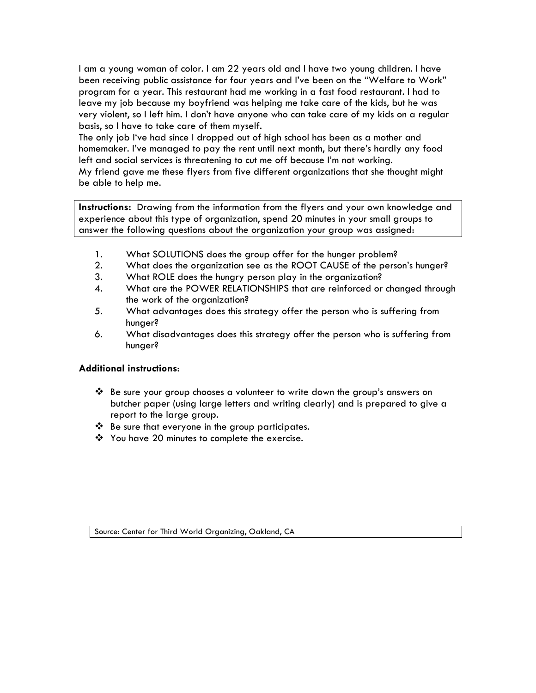I am a young woman of color. I am 22 years old and I have two young children. I have been receiving public assistance for four years and I've been on the "Welfare to Work" program for a year. This restaurant had me working in a fast food restaurant. I had to leave my job because my boyfriend was helping me take care of the kids, but he was very violent, so I left him. I don't have anyone who can take care of my kids on a regular basis, so I have to take care of them myself.

The only job I've had since I dropped out of high school has been as a mother and homemaker. I've managed to pay the rent until next month, but there's hardly any food left and social services is threatening to cut me off because I'm not working.

My friend gave me these flyers from five different organizations that she thought might be able to help me.

**Instructions:** Drawing from the information from the flyers and your own knowledge and experience about this type of organization, spend 20 minutes in your small groups to answer the following questions about the organization your group was assigned:

- 1. What SOLUTIONS does the group offer for the hunger problem?
- 2. What does the organization see as the ROOT CAUSE of the person's hunger?
- 3. What ROLE does the hungry person play in the organization?
- 4. What are the POWER RELATIONSHIPS that are reinforced or changed through the work of the organization?
- 5. What advantages does this strategy offer the person who is suffering from hunger?
- 6. What disadvantages does this strategy offer the person who is suffering from hunger?

### **Additional instructions**:

- ❖ Be sure your group chooses a volunteer to write down the group's answers on butcher paper (using large letters and writing clearly) and is prepared to give a report to the large group.
- $\mathbf{\hat{P}}$  Be sure that everyone in the group participates.
- $\cdot$  You have 20 minutes to complete the exercise.

Source: Center for Third World Organizing, Oakland, CA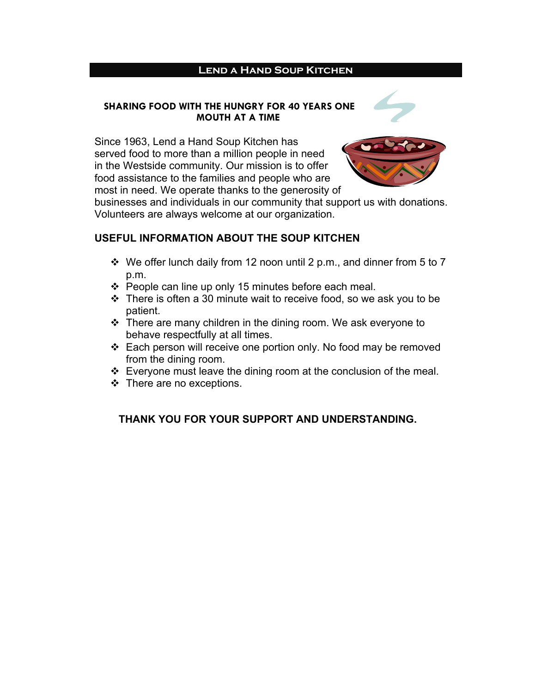### **Lend a Hand Soup Kitchen**

### **SHARING FOOD WITH THE HUNGRY FOR 40 YEARS ONE MOUTH AT A TIME**

Since 1963, Lend a Hand Soup Kitchen has served food to more than a million people in need in the Westside community. Our mission is to offer food assistance to the families and people who are most in need. We operate thanks to the generosity of



businesses and individuals in our community that support us with donations. Volunteers are always welcome at our organization.

### **USEFUL INFORMATION ABOUT THE SOUP KITCHEN**

- $\cdot$  We offer lunch daily from 12 noon until 2 p.m., and dinner from 5 to 7 p.m.
- $\div$  People can line up only 15 minutes before each meal.
- $\cdot \cdot$  There is often a 30 minute wait to receive food, so we ask you to be patient.
- $\cdot \cdot$  There are many children in the dining room. We ask everyone to behave respectfully at all times.
- v Each person will receive one portion only. No food may be removed from the dining room.
- $\div$  Everyone must leave the dining room at the conclusion of the meal.
- $\div$  There are no exceptions.

### **THANK YOU FOR YOUR SUPPORT AND UNDERSTANDING.**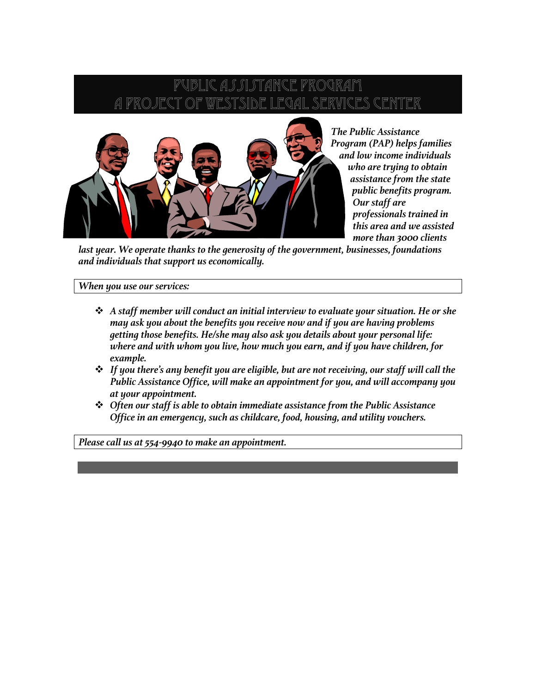## SI STANCE PR GAL SERVICES CENTER



*The Public Assistance Program (PAP) helps families and low income individuals who are trying to obtain assistance from the state public benefits program. Our staff are professionals trained in this area and we assisted more than 3000 clients* 

*last year. We operate thanks to the generosity of the government, businesses, foundations and individuals that support us economically.*

#### *When you use our services:*

- v *A staff member will conduct an initial interview to evaluate your situation. He or she may ask you about the benefits you receive now and if you are having problems getting those benefits. He/she may also ask you details about your personal life: where and with whom you live, how much you earn, and if you have children, for example.*
- v *If you there's any benefit you are eligible, but are not receiving, our staff will call the Public Assistance Office, will make an appointment for you, and will accompany you at your appointment.*
- v *Often our staff is able to obtain immediate assistance from the Public Assistance Office in an emergency, such as childcare, food, housing, and utility vouchers.*

*Please call us at 554-9940 to make an appointment.*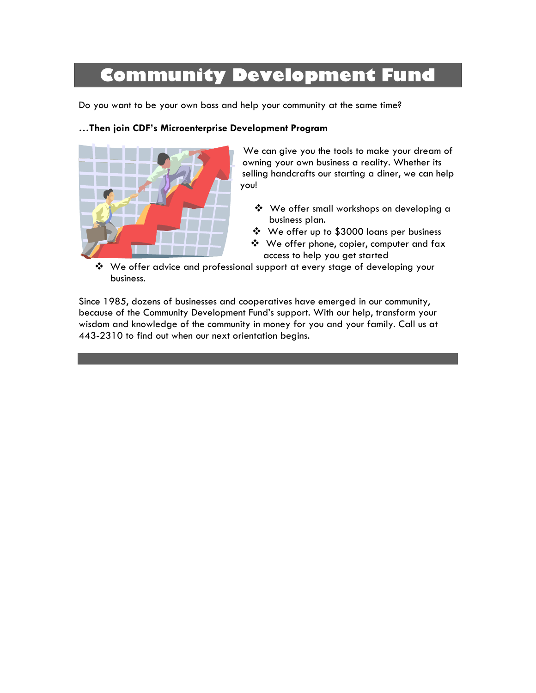# **Community Development Fund**

Do you want to be your own boss and help your community at the same time?

### **…Then join CDF's Microenterprise Development Program**



We can give you the tools to make your dream of owning your own business a reality. Whether its selling handcrafts our starting a diner, we can help you!

- v We offer small workshops on developing a business plan.
- v We offer up to \$3000 loans per business
- ❖ We offer phone, copier, computer and fax access to help you get started
- v We offer advice and professional support at every stage of developing your business.

Since 1985, dozens of businesses and cooperatives have emerged in our community, because of the Community Development Fund's support. With our help, transform your wisdom and knowledge of the community in money for you and your family. Call us at 443-2310 to find out when our next orientation begins.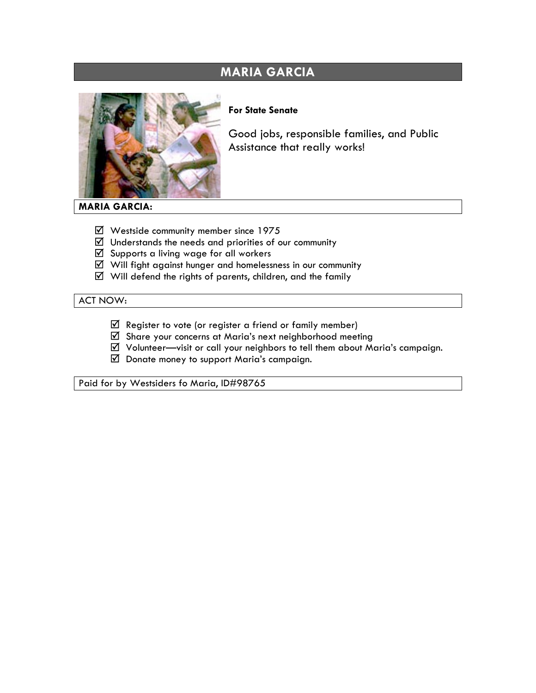### **MARIA GARCIA**



### **For State Senate**

Good jobs, responsible families, and Public Assistance that really works!

### **MARIA GARCIA:**

- $\boxtimes$  Westside community member since 1975
- $\boxtimes$  Understands the needs and priorities of our community
- $\boxtimes$  Supports a living wage for all workers
- $\boxtimes$  Will fight against hunger and homelessness in our community
- $\boxtimes$  Will defend the rights of parents, children, and the family

### ACT NOW:

- $\boxtimes$  Register to vote (or register a friend or family member)
- R Share your concerns at Maria's next neighborhood meeting
- $\boxtimes$  Volunteer—visit or call your neighbors to tell them about Maria's campaign.
- $\boxtimes$  Donate money to support Maria's campaign.

Paid for by Westsiders fo Maria, ID#98765